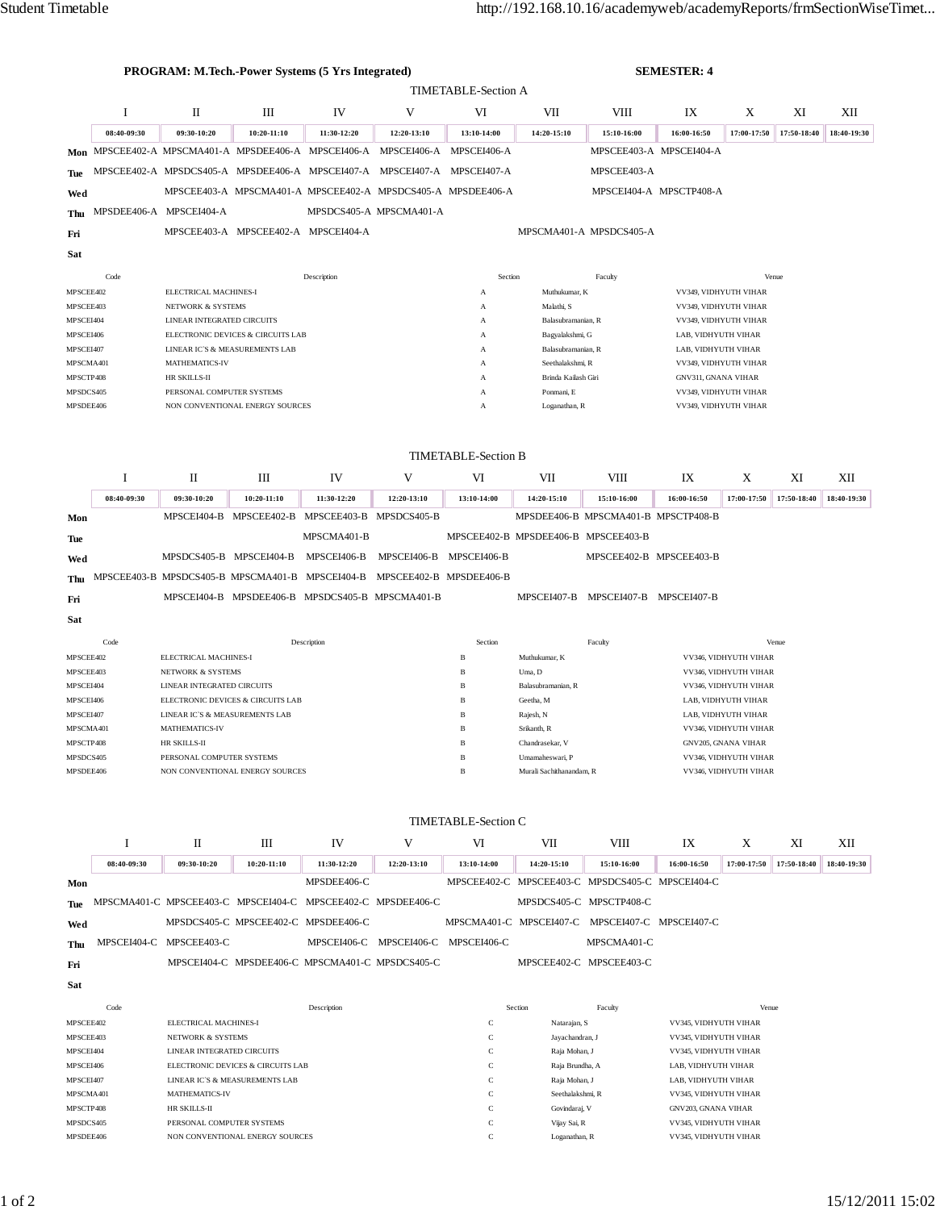| PROGRAM: M.Tech.-Power Systems (5 Yrs Integrated) |                            |                                                                     |                                                                             |                   |                                     |                              |                                             | <b>SEMESTER: 4</b>                              |                                                     |                       |                   |                    |  |  |
|---------------------------------------------------|----------------------------|---------------------------------------------------------------------|-----------------------------------------------------------------------------|-------------------|-------------------------------------|------------------------------|---------------------------------------------|-------------------------------------------------|-----------------------------------------------------|-----------------------|-------------------|--------------------|--|--|
|                                                   |                            | <b>TIMETABLE-Section A</b>                                          |                                                                             |                   |                                     |                              |                                             |                                                 |                                                     |                       |                   |                    |  |  |
|                                                   | I                          | П                                                                   | Ш                                                                           | IV                | V                                   | VI                           | VІІ                                         | VIII                                            | IX                                                  | Х                     | XI                | XII                |  |  |
|                                                   | 08:40-09:30                | 09:30-10:20                                                         | 10:20-11:10                                                                 | 11:30-12:20       | 12:20-13:10                         | 13:10-14:00                  | 14:20-15:10                                 | 15:10-16:00                                     | 16:00-16:50                                         | 17:00-17:50           | 17:50-18:40       | 18:40-19:30        |  |  |
|                                                   |                            |                                                                     | Mon MPSCEE402-A MPSCMA401-A MPSDEE406-A MPSCEI406-A MPSCEI406-A MPSCEI406-A |                   |                                     |                              |                                             |                                                 | MPSCEE403-A MPSCEI404-A                             |                       |                   |                    |  |  |
| Tue                                               |                            |                                                                     | MPSCEE402-A MPSDCS405-A MPSDEE406-A MPSCEI407-A MPSCEI407-A MPSCEI407-A     |                   |                                     |                              |                                             | MPSCEE403-A                                     |                                                     |                       |                   |                    |  |  |
| Wed                                               |                            |                                                                     | MPSCEE403-A MPSCMA401-A MPSCEE402-A MPSDCS405-A MPSDEE406-A                 |                   |                                     |                              |                                             |                                                 | MPSCEI404-A MPSCTP408-A                             |                       |                   |                    |  |  |
| Thu                                               | MPSDEE406-A MPSCEI404-A    |                                                                     |                                                                             |                   | MPSDCS405-A MPSCMA401-A             |                              |                                             |                                                 |                                                     |                       |                   |                    |  |  |
| Fri                                               |                            |                                                                     | MPSCEE403-A MPSCEE402-A MPSCEI404-A                                         |                   |                                     |                              |                                             | MPSCMA401-A MPSDCS405-A                         |                                                     |                       |                   |                    |  |  |
| Sat                                               |                            |                                                                     |                                                                             |                   |                                     |                              |                                             |                                                 |                                                     |                       |                   |                    |  |  |
| Code                                              |                            | Description                                                         |                                                                             |                   |                                     | Section                      |                                             | Venue                                           |                                                     |                       |                   |                    |  |  |
| MPSCEE402                                         |                            | ELECTRICAL MACHINES-I                                               |                                                                             |                   |                                     | A                            | Muthukumar, K                               |                                                 |                                                     | VV349, VIDHYUTH VIHAR |                   |                    |  |  |
| MPSCEE403<br>MPSCEI404                            |                            | <b>NETWORK &amp; SYSTEMS</b><br>LINEAR INTEGRATED CIRCUITS          |                                                                             |                   |                                     | А<br>А                       | Malathi, S<br>Balasubramanian, R            |                                                 | VV349, VIDHYUTH VIHAR<br>VV349, VIDHYUTH VIHAR      |                       |                   |                    |  |  |
| MPSCEI406                                         |                            | ELECTRONIC DEVICES & CIRCUITS LAB                                   |                                                                             |                   |                                     | Α                            | Bagyalakshmi, G                             |                                                 | LAB, VIDHYUTH VIHAR                                 |                       |                   |                    |  |  |
| MPSCEI407                                         |                            | LINEAR IC'S & MEASUREMENTS LAB<br>MATHEMATICS-IV                    |                                                                             |                   |                                     | А<br>A                       | Balasubramanian, R<br>Seethalakshmi, R      |                                                 | LAB, VIDHYUTH VIHAR                                 |                       |                   |                    |  |  |
| MPSCMA401<br>MPSCTP408                            |                            | HR SKILLS-II                                                        |                                                                             |                   |                                     | А                            | Brinda Kailash Giri                         |                                                 | VV349, VIDHYUTH VIHAR<br><b>GNV311, GNANA VIHAR</b> |                       |                   |                    |  |  |
| MPSDCS405                                         |                            | PERSONAL COMPUTER SYSTEMS                                           |                                                                             |                   |                                     | А                            | Ponmani, E                                  |                                                 | VV349, VIDHYUTH VIHAR                               |                       |                   |                    |  |  |
| MPSDEE406                                         |                            |                                                                     | NON CONVENTIONAL ENERGY SOURCES                                             |                   |                                     | А                            | Loganathan, R                               |                                                 | VV349, VIDHYUTH VIHAR                               |                       |                   |                    |  |  |
|                                                   |                            |                                                                     |                                                                             |                   |                                     |                              |                                             |                                                 |                                                     |                       |                   |                    |  |  |
| <b>TIMETABLE-Section B</b>                        |                            |                                                                     |                                                                             |                   |                                     |                              |                                             |                                                 |                                                     |                       |                   |                    |  |  |
|                                                   | I                          | П                                                                   | Ш                                                                           | IV                | V                                   | VI                           | VII                                         | VШ                                              | IX                                                  | Χ                     | XI                | XII                |  |  |
|                                                   | 08:40-09:30                | 09:30-10:20                                                         | 10:20-11:10                                                                 | 11:30-12:20       | 12:20-13:10                         | 13:10-14:00                  | 14:20-15:10                                 | 15:10-16:00                                     | 16:00-16:50                                         | 17:00-17:50           | 17:50-18:40       | 18:40-19:30        |  |  |
| Mon                                               |                            |                                                                     | MPSCEI404-B MPSCEE402-B MPSCEE403-B                                         |                   | MPSDCS405-B                         |                              |                                             | MPSDEE406-B MPSCMA401-B MPSCTP408-B             |                                                     |                       |                   |                    |  |  |
| Tue                                               |                            |                                                                     |                                                                             | MPSCMA401-B       |                                     |                              | MPSCEE402-B MPSDEE406-B MPSCEE403-B         |                                                 |                                                     |                       |                   |                    |  |  |
| Wed                                               |                            | MPSDCS405-B MPSCEI404-B                                             |                                                                             | MPSCEI406-B       | MPSCEI406-B                         | MPSCEI406-B                  |                                             | MPSCEE402-B MPSCEE403-B                         |                                                     |                       |                   |                    |  |  |
| Thu                                               |                            |                                                                     | MPSCEE403-B MPSDCS405-B MPSCMA401-B MPSCEI404-B MPSCEE402-B MPSDEE406-B     |                   |                                     |                              |                                             |                                                 |                                                     |                       |                   |                    |  |  |
| Fri                                               |                            |                                                                     | MPSCEI404-B MPSDEE406-B MPSDCS405-B MPSCMA401-B                             |                   |                                     |                              | MPSCEI407-B                                 | MPSCEI407-B MPSCEI407-B                         |                                                     |                       |                   |                    |  |  |
| Sat                                               |                            |                                                                     |                                                                             |                   |                                     |                              |                                             |                                                 |                                                     |                       |                   |                    |  |  |
| Code                                              |                            | Description                                                         |                                                                             |                   |                                     | Section                      | Venue<br>Faculty                            |                                                 |                                                     |                       |                   |                    |  |  |
| MPSCEE402                                         |                            | ELECTRICAL MACHINES-I<br><b>NETWORK &amp; SYSTEMS</b>               |                                                                             |                   |                                     | $\, {\bf B}$<br>$\, {\bf B}$ | Muthukumar, K<br>Uma, D                     |                                                 | VV346, VIDHYUTH VIHAR<br>VV346, VIDHYUTH VIHAR      |                       |                   |                    |  |  |
| MPSCEE403<br>MPSCEI404                            |                            | LINEAR INTEGRATED CIRCUITS                                          |                                                                             |                   |                                     | B                            | Balasubramanian, R                          |                                                 | VV346, VIDHYUTH VIHAR                               |                       |                   |                    |  |  |
| MPSCEI406                                         |                            | ELECTRONIC DEVICES & CIRCUITS LAB<br>LINEAR IC'S & MEASUREMENTS LAB |                                                                             |                   |                                     | $_{\rm B}$                   | Geetha, M                                   |                                                 | LAB, VIDHYUTH VIHAR                                 |                       |                   |                    |  |  |
| MPSCEI407<br>MPSCMA401                            |                            | MATHEMATICS-IV                                                      |                                                                             |                   |                                     | $\, {\bf B}$<br>$\, {\bf B}$ | Rajesh, N<br>Srikanth, R                    |                                                 | LAB, VIDHYUTH VIHAR<br>VV346, VIDHYUTH VIHAR        |                       |                   |                    |  |  |
| MPSCTP408                                         |                            | HR SKILLS-II                                                        |                                                                             |                   |                                     | B                            | Chandrasekar, V                             |                                                 | GNV205, GNANA VIHAR                                 |                       |                   |                    |  |  |
| MPSDCS405                                         |                            | PERSONAL COMPUTER SYSTEMS<br>NON CONVENTIONAL ENERGY SOURCES        |                                                                             |                   |                                     | $\, {\bf B}$<br>$\, {\bf B}$ | Umamaheswari, P<br>Murali Sachithanandam, R |                                                 | VV346, VIDHYUTH VIHAR<br>VV346, VIDHYUTH VIHAR      |                       |                   |                    |  |  |
| MPSDEE406                                         |                            |                                                                     |                                                                             |                   |                                     |                              |                                             |                                                 |                                                     |                       |                   |                    |  |  |
|                                                   |                            |                                                                     |                                                                             |                   |                                     |                              |                                             |                                                 |                                                     |                       |                   |                    |  |  |
|                                                   | <b>TIMETABLE-Section C</b> |                                                                     |                                                                             |                   |                                     |                              |                                             |                                                 |                                                     |                       |                   |                    |  |  |
|                                                   | Ι<br>08:40-09:30           | П<br>09:30-10:20                                                    | Ш<br>10:20-11:10                                                            | IV<br>11:30-12:20 | V<br>12:20-13:10                    | VI<br>13:10-14:00            | VII<br>14:20-15:10                          | VШ<br>15:10-16:00                               | IX<br>16:00-16:50                                   | Χ<br>17:00-17:50      | XI<br>17:50-18:40 | XII<br>18:40-19:30 |  |  |
| Mon                                               |                            |                                                                     |                                                                             | MPSDEE406-C       |                                     |                              |                                             | MPSCEE402-C MPSCEE403-C MPSDCS405-C MPSCEI404-C |                                                     |                       |                   |                    |  |  |
| Tue                                               |                            |                                                                     | MPSCMA401-C MPSCEE403-C MPSCEI404-C MPSCEE402-C MPSDEE406-C                 |                   |                                     |                              |                                             | MPSDCS405-C MPSCTP408-C                         |                                                     |                       |                   |                    |  |  |
| Wed                                               |                            |                                                                     | MPSDCS405-C MPSCEE402-C MPSDEE406-C                                         |                   |                                     |                              |                                             | MPSCMA401-C MPSCEI407-C MPSCEI407-C MPSCEI407-C |                                                     |                       |                   |                    |  |  |
| Thu                                               | MPSCEI404-C                | MPSCEE403-C                                                         |                                                                             |                   | MPSCEI406-C MPSCEI406-C MPSCEI406-C |                              |                                             | MPSCMA401-C                                     |                                                     |                       |                   |                    |  |  |
| Fri                                               |                            |                                                                     | MPSCEI404-C MPSDEE406-C MPSCMA401-C MPSDCS405-C                             |                   |                                     |                              |                                             | MPSCEE402-C MPSCEE403-C                         |                                                     |                       |                   |                    |  |  |
| Sat                                               |                            |                                                                     |                                                                             |                   |                                     |                              |                                             |                                                 |                                                     |                       |                   |                    |  |  |
|                                                   | Code                       |                                                                     |                                                                             | Description       |                                     |                              | Section                                     | Faculty                                         |                                                     | Venue                 |                   |                    |  |  |
| MPSCEE402                                         |                            | ELECTRICAL MACHINES-I                                               |                                                                             |                   |                                     | $\mathsf C$                  | Natarajan, S                                |                                                 | VV345, VIDHYUTH VIHAR                               |                       |                   |                    |  |  |
| MPSCEE403                                         |                            | <b>NETWORK &amp; SYSTEMS</b>                                        |                                                                             |                   |                                     | $\mathbf C$                  | Jayachandran, J                             |                                                 | VV345, VIDHYUTH VIHAR                               |                       |                   |                    |  |  |
| MPSCEI404<br>MPSCEI406                            |                            | LINEAR INTEGRATED CIRCUITS                                          | ELECTRONIC DEVICES & CIRCUITS LAB                                           |                   |                                     | $\mathbf C$<br>$\mathbf C$   | Raja Mohan, J<br>Raja Brundha, A            |                                                 | VV345, VIDHYUTH VIHAR<br>LAB, VIDHYUTH VIHAR        |                       |                   |                    |  |  |
| MPSCEI407                                         |                            | LINEAR IC'S & MEASUREMENTS LAB                                      |                                                                             |                   |                                     | $\mathbf C$                  | Raja Mohan, J                               |                                                 | LAB, VIDHYUTH VIHAR                                 |                       |                   |                    |  |  |
| MPSCMA401                                         |                            | MATHEMATICS-IV                                                      |                                                                             |                   |                                     | $\mathbf C$<br>$\mathbf C$   | Seethalakshmi, R                            |                                                 | VV345, VIDHYUTH VIHAR<br>GNV203, GNANA VIHAR        |                       |                   |                    |  |  |
| MPSCTP408<br>MPSDCS405                            |                            | HR SKILLS-II                                                        | PERSONAL COMPUTER SYSTEMS                                                   |                   |                                     | $\mathbf C$                  | Govindaraj, V<br>Vijay Sai, R               |                                                 | VV345, VIDHYUTH VIHAR                               |                       |                   |                    |  |  |
| MPSDEE406                                         |                            |                                                                     | NON CONVENTIONAL ENERGY SOURCES                                             |                   |                                     | $\mathbf C$                  | Loganathan, R                               |                                                 | VV345, VIDHYUTH VIHAR                               |                       |                   |                    |  |  |
|                                                   |                            |                                                                     |                                                                             |                   |                                     |                              |                                             |                                                 |                                                     |                       |                   |                    |  |  |